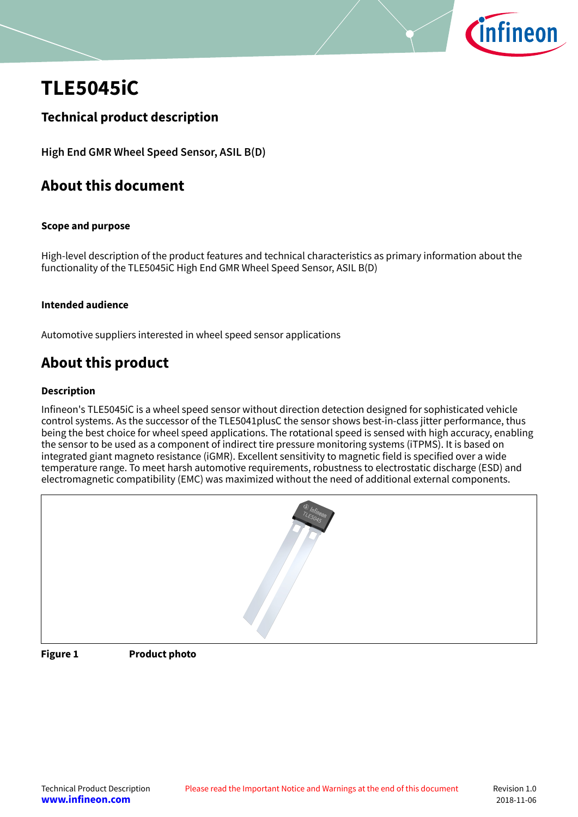

# <span id="page-0-0"></span>**TLE5045iC**

## **Technical product description**

**High End GMR Wheel Speed Sensor, ASIL B(D)**

## **About this document**

## **Scope and purpose**

High-level description of the product features and technical characteristics as primary information about the functionality of the TLE5045iC High End GMR Wheel Speed Sensor, ASIL B(D)

## **Intended audience**

Automotive suppliers interested in wheel speed sensor applications

## **About this product**

## **Description**

Infineon's TLE5045iC is a wheel speed sensor without direction detection designed for sophisticated vehicle control systems. As the successor of the TLE5041plusC the sensor shows best-in-class jitter performance, thus being the best choice for wheel speed applications. The rotational speed is sensed with high accuracy, enabling the sensor to be used as a component of indirect tire pressure monitoring systems (iTPMS). It is based on integrated giant magneto resistance (iGMR). Excellent sensitivity to magnetic field is specified over a wide temperature range. To meet harsh automotive requirements, robustness to electrostatic discharge (ESD) and electromagnetic compatibility (EMC) was maximized without the need of additional external components.

| <b>G</b> ] Infineon |
|---------------------|
|                     |
|                     |

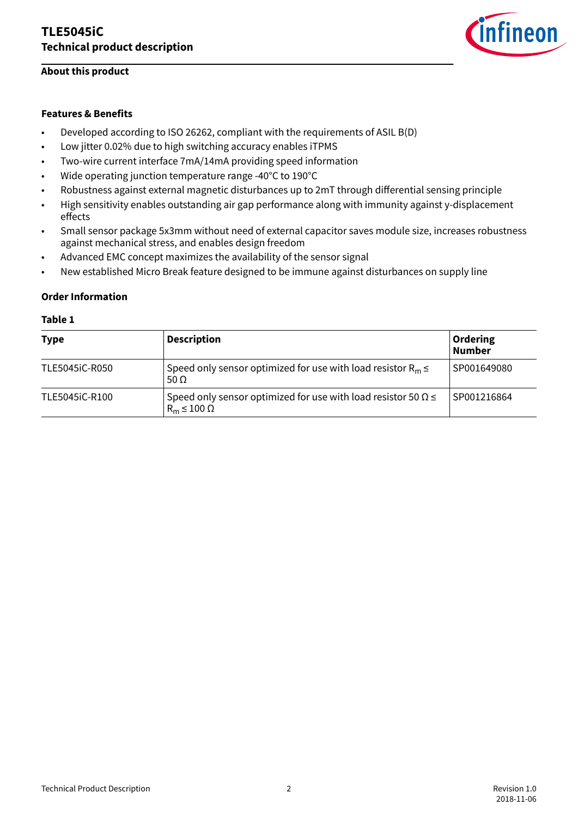## **About this product**



## **Features & Benefits**

- Developed according to ISO 26262, compliant with the requirements of ASIL B(D)
- Low jitter 0.02% due to high switching accuracy enables iTPMS
- Two-wire current interface 7mA/14mA providing speed information
- Wide operating junction temperature range -40°C to 190°C
- Robustness against external magnetic disturbances up to 2mT through differential sensing principle
- High sensitivity enables outstanding air gap performance along with immunity against y-displacement effects
- Small sensor package 5x3mm without need of external capacitor saves module size, increases robustness against mechanical stress, and enables design freedom
- Advanced EMC concept maximizes the availability of the sensor signal
- New established Micro Break feature designed to be immune against disturbances on supply line

#### **Order Information**

| <b>Type</b>    | <b>Description</b>                                                                               | <b>Ordering</b><br><b>Number</b> |
|----------------|--------------------------------------------------------------------------------------------------|----------------------------------|
| TLE5045iC-R050 | Speed only sensor optimized for use with load resistor $R_m \leq$<br>50 $\Omega$                 | SP001649080                      |
| TLE5045iC-R100 | Speed only sensor optimized for use with load resistor 50 $\Omega \leq$<br>$R_m \leq 100 \Omega$ | SP001216864                      |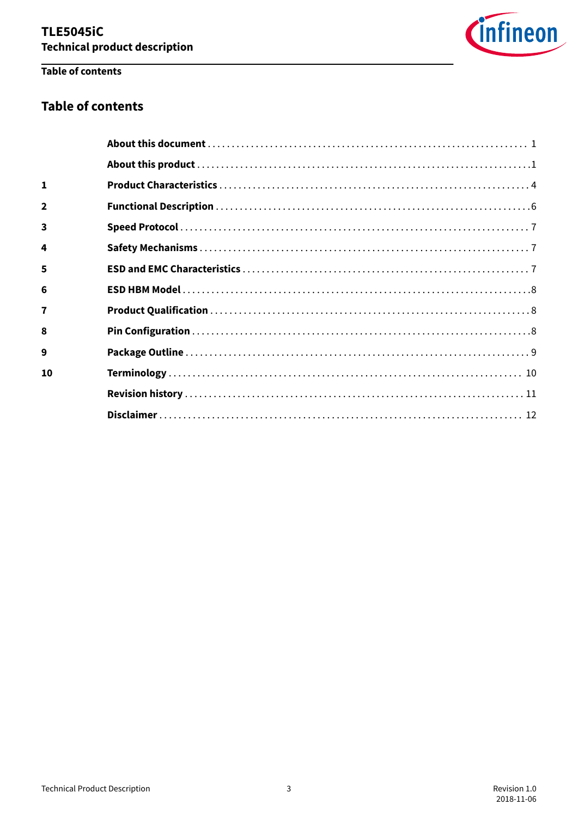

## Table of contents

## **Table of contents**

| $\mathbf{1}$   |  |
|----------------|--|
| $\overline{2}$ |  |
| 3              |  |
| 4              |  |
| 5              |  |
| 6              |  |
| $\overline{7}$ |  |
| 8              |  |
| 9              |  |
| 10             |  |
|                |  |
|                |  |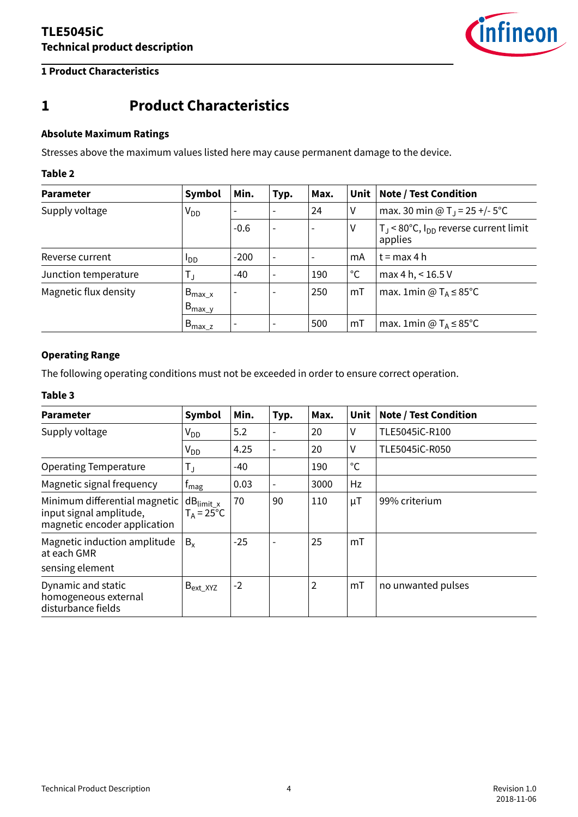

## <span id="page-3-0"></span>**1 Product Characteristics**

## **1 Product Characteristics**

## **Absolute Maximum Ratings**

Stresses above the maximum values listed here may cause permanent damage to the device.

#### **Table 2**

| <b>Parameter</b>      | Symbol                           | Min.   | Typ.                     | Max. | <b>Unit</b>  | <b>Note / Test Condition</b>                                            |
|-----------------------|----------------------------------|--------|--------------------------|------|--------------|-------------------------------------------------------------------------|
| Supply voltage        | V <sub>DD</sub>                  |        |                          | 24   | ٧            | max. 30 min @ T <sub>J</sub> = 25 +/- 5°C                               |
|                       |                                  | $-0.6$ | $\overline{\phantom{a}}$ |      | ٧            | T <sub>J</sub> < 80°C, I <sub>DD</sub> reverse current limit<br>applies |
| Reverse current       | l <sub>DD</sub>                  | $-200$ | $\overline{\phantom{a}}$ |      | mA           | $t = max 4 h$                                                           |
| Junction temperature  | T,                               | $-40$  | $\overline{\phantom{a}}$ | 190  | $^{\circ}$ C | max 4 h, < 16.5 V                                                       |
| Magnetic flux density | $B_{\text{max}x}$<br>$B_{max_y}$ |        |                          | 250  | mT           | max. 1 min @ $T_A \leq 85^{\circ}C$                                     |
|                       | $B_{\text{max}\_Z}$              |        |                          | 500  | mT           | max. 1 min @ $T_A \leq 85^{\circ}C$                                     |

#### **Operating Range**

The following operating conditions must not be exceeded in order to ensure correct operation.

| <b>Parameter</b>                                                                         | Symbol                                           | Min.  | Typ. | Max.           | Unit         | <b>Note / Test Condition</b> |
|------------------------------------------------------------------------------------------|--------------------------------------------------|-------|------|----------------|--------------|------------------------------|
| Supply voltage                                                                           | $V_{DD}$                                         | 5.2   |      | 20             | ۷            | TLE5045iC-R100               |
|                                                                                          | $V_{DD}$                                         | 4.25  |      | 20             | ٧            | TLE5045iC-R050               |
| <b>Operating Temperature</b>                                                             | $T_{\rm J}$                                      | -40   |      | 190            | $^{\circ}$ C |                              |
| Magnetic signal frequency                                                                | Imag                                             | 0.03  |      | 3000           | Hz           |                              |
| Minimum differential magnetic<br>input signal amplitude,<br>magnetic encoder application | $dB$ <sub>limit_x</sub><br>T <sub>A</sub> = 25°C | 70    | 90   | 110            | $\mu$ T      | 99% criterium                |
| Magnetic induction amplitude<br>at each GMR                                              | $B_{x}$                                          | $-25$ |      | 25             | mT           |                              |
| sensing element                                                                          |                                                  |       |      |                |              |                              |
| Dynamic and static<br>homogeneous external<br>disturbance fields                         | $B_{\text{ext}\_$ XYZ                            | $-2$  |      | $\overline{2}$ | mT           | no unwanted pulses           |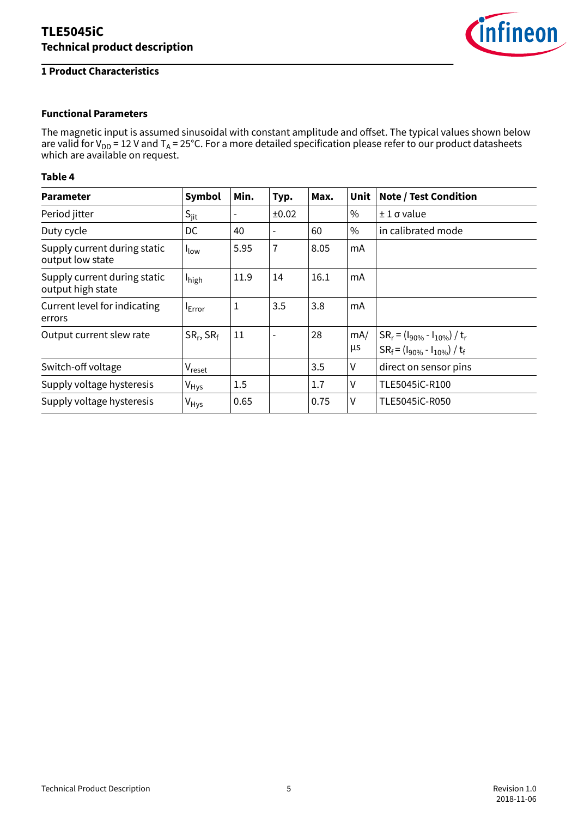## **1 Product Characteristics**



## **Functional Parameters**

The magnetic input is assumed sinusoidal with constant amplitude and offset. The typical values shown below are valid for V<sub>DD</sub> = 12 V and T<sub>A</sub> = 25°C. For a more detailed specification please refer to our product datasheets which are available on request.

| <b>Parameter</b>                                  | <b>Symbol</b>    | Min. | Typ.           | Max. | Unit          | <b>Note / Test Condition</b>                                                 |
|---------------------------------------------------|------------------|------|----------------|------|---------------|------------------------------------------------------------------------------|
| Period jitter                                     | $S_{\text{jit}}$ |      | ±0.02          |      | $\frac{0}{0}$ | $\pm 1$ $\sigma$ value                                                       |
| Duty cycle                                        | DC               | 40   |                | 60   | $\%$          | in calibrated mode                                                           |
| Supply current during static<br>output low state  | I <sub>low</sub> | 5.95 | $\overline{1}$ | 8.05 | mA            |                                                                              |
| Supply current during static<br>output high state | <b>I</b> high    | 11.9 | 14             | 16.1 | mA            |                                                                              |
| Current level for indicating<br>errors            | <b>E</b> rror    | 1    | 3.5            | 3.8  | mA            |                                                                              |
| Output current slew rate                          | $SR_r, SR_f$     | 11   |                | 28   | mA/<br>μs     | $SR_r = (I_{90\%} - I_{10\%}) / t_r$<br>$SR_f = (I_{90\%} - I_{10\%}) / t_f$ |
| Switch-off voltage                                | $V_{reset}$      |      |                | 3.5  | $\vee$        | direct on sensor pins                                                        |
| Supply voltage hysteresis                         | $V_{Hys}$        | 1.5  |                | 1.7  | $\vee$        | TLE5045iC-R100                                                               |
| Supply voltage hysteresis                         | $V_{Hys}$        | 0.65 |                | 0.75 | V             | TLE5045iC-R050                                                               |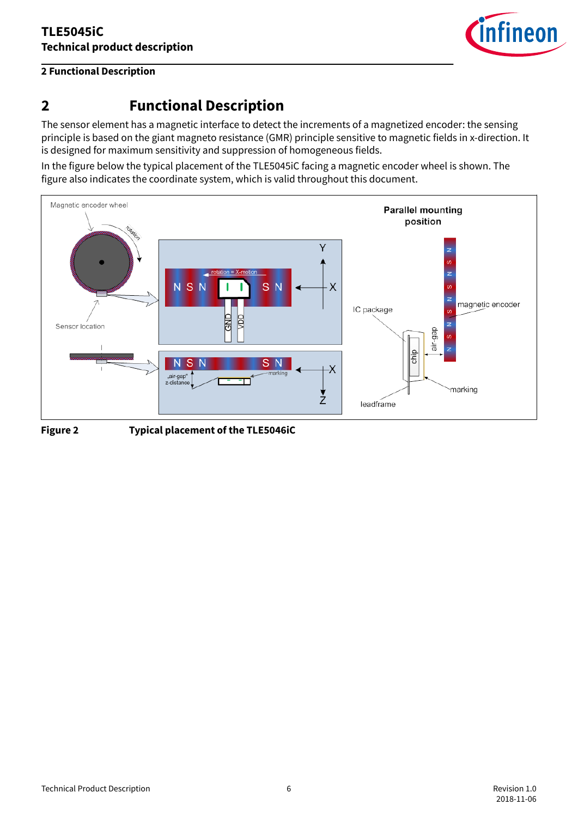



## <span id="page-5-0"></span>**2 Functional Description**

## **2 Functional Description**

The sensor element has a magnetic interface to detect the increments of a magnetized encoder: the sensing principle is based on the giant magneto resistance (GMR) principle sensitive to magnetic fields in x-direction. It is designed for maximum sensitivity and suppression of homogeneous fields.

In the figure below the typical placement of the TLE5045iC facing a magnetic encoder wheel is shown. The figure also indicates the coordinate system, which is valid throughout this document.





**Figure 2 Typical placement of the TLE5046iC**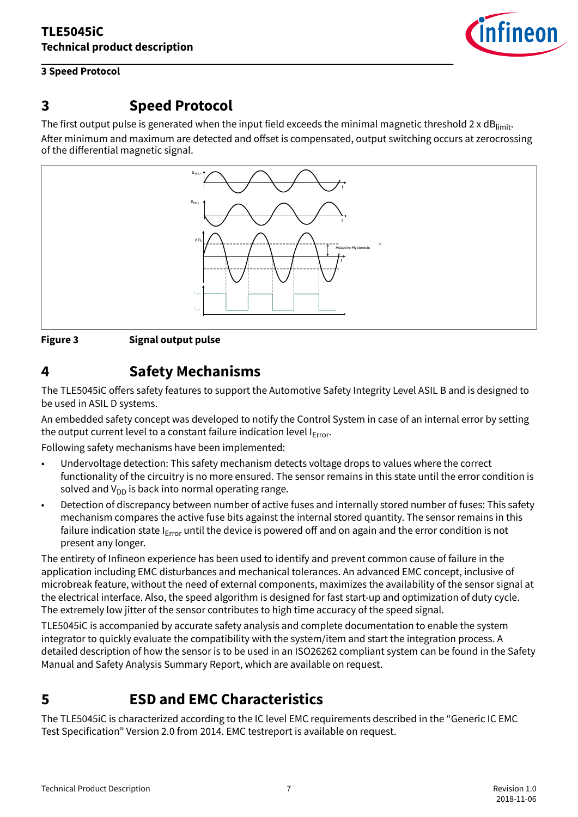

## <span id="page-6-0"></span>**3 Speed Protocol**

## **3 Speed Protocol**

The first output pulse is generated when the input field exceeds the minimal magnetic threshold 2 x dB<sub>limit</sub>. After minimum and maximum are detected and offset is compensated, output switching occurs at zerocrossing of the differential magnetic signal.



**Figure 3 Signal output pulse**

## **4 Safety Mechanisms**

The TLE5045iC offers safety features to support the Automotive Safety Integrity Level ASIL B and is designed to be used in ASIL D systems.

An embedded safety concept was developed to notify the Control System in case of an internal error by setting the output current level to a constant failure indication level  $I_{Error}$ .

Following safety mechanisms have been implemented:

- Undervoltage detection: This safety mechanism detects voltage drops to values where the correct functionality of the circuitry is no more ensured. The sensor remains in this state until the error condition is solved and  $V_{DD}$  is back into normal operating range.
- Detection of discrepancy between number of active fuses and internally stored number of fuses: This safety mechanism compares the active fuse bits against the internal stored quantity. The sensor remains in this failure indication state  $I_{Error}$  until the device is powered off and on again and the error condition is not present any longer.

The entirety of Infineon experience has been used to identify and prevent common cause of failure in the application including EMC disturbances and mechanical tolerances. An advanced EMC concept, inclusive of microbreak feature, without the need of external components, maximizes the availability of the sensor signal at the electrical interface. Also, the speed algorithm is designed for fast start-up and optimization of duty cycle. The extremely low jitter of the sensor contributes to high time accuracy of the speed signal.

TLE5045iC is accompanied by accurate safety analysis and complete documentation to enable the system integrator to quickly evaluate the compatibility with the system/item and start the integration process. A detailed description of how the sensor is to be used in an ISO26262 compliant system can be found in the Safety Manual and Safety Analysis Summary Report, which are available on request.

## **5 ESD and EMC Characteristics**

The TLE5045iC is characterized according to the IC level EMC requirements described in the "Generic IC EMC Test Specification" Version 2.0 from 2014. EMC testreport is available on request.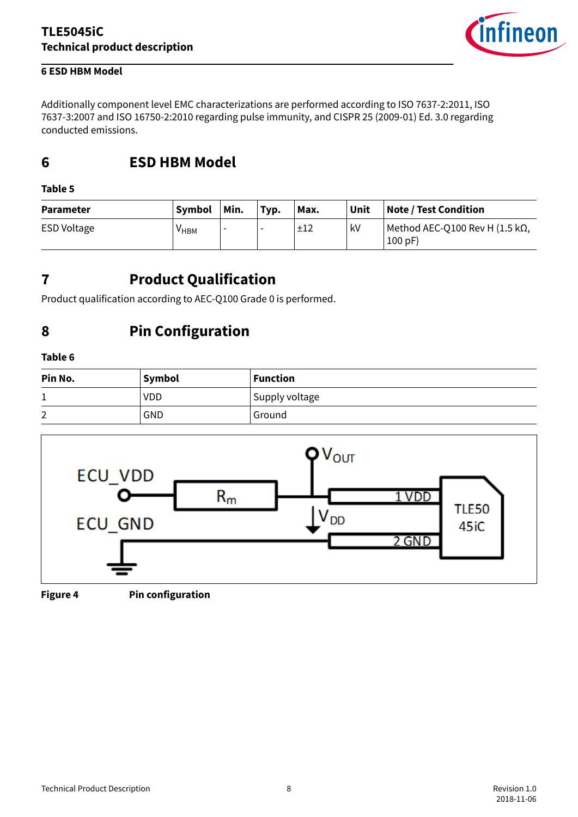

## <span id="page-7-0"></span>**6 ESD HBM Model**

Additionally component level EMC characterizations are performed according to ISO 7637-2:2011, ISO 7637-3:2007 and ISO 16750-2:2010 regarding pulse immunity, and CISPR 25 (2009-01) Ed. 3.0 regarding conducted emissions.

## **6 ESD HBM Model**

#### **Table 5**

| <b>Parameter</b>   | Symbol | ∣Min.                    | Typ. | Max. | Unit | <b>Note / Test Condition</b>                      |
|--------------------|--------|--------------------------|------|------|------|---------------------------------------------------|
| <b>ESD Voltage</b> | ∨нвм   | $\overline{\phantom{0}}$ |      | ±12  | , kV | Method AEC-Q100 Rev H (1.5 k $\Omega$ ,<br>100 pF |

## **7 Product Qualification**

Product qualification according to AEC-Q100 Grade 0 is performed.

## **8 Pin Configuration**

## **Table 6**

| Pin No. | Symbol     | Function       |
|---------|------------|----------------|
| ᅩ       | <b>VDD</b> | Supply voltage |
| ◠<br>∠  | GND        | Ground         |





**Figure 4 Pin configuration**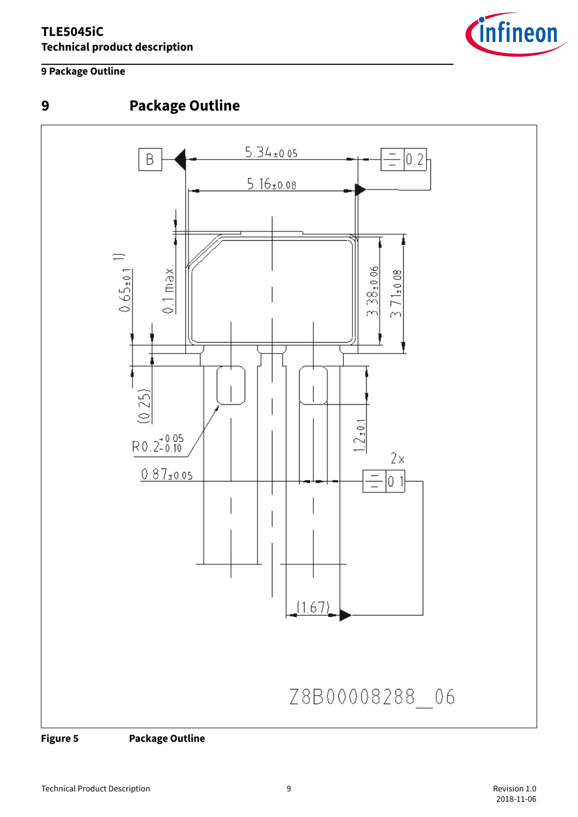## <span id="page-8-0"></span>**TLE5045iC Technical product description**





## **9 Package Outline**

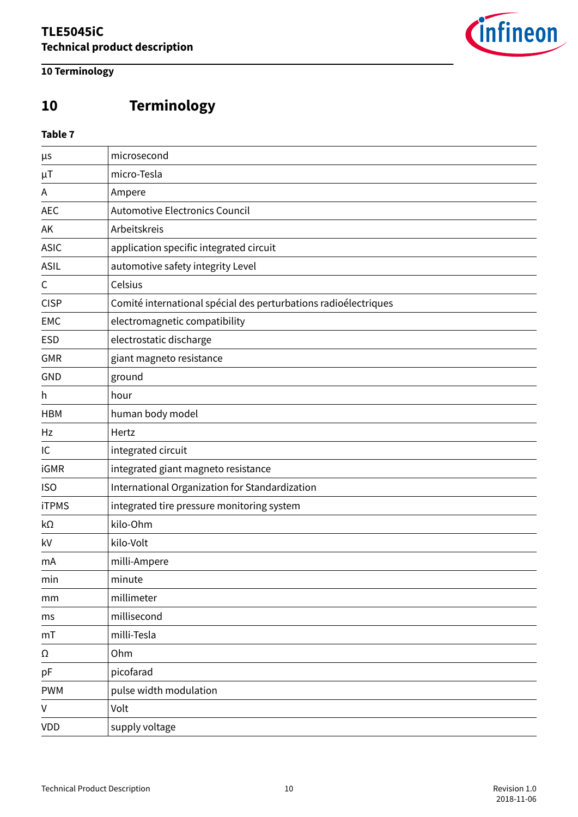

<span id="page-9-0"></span>**10 Terminology**

# **10 Terminology**

| μs           | microsecond                                                     |
|--------------|-----------------------------------------------------------------|
| $\mu T$      | micro-Tesla                                                     |
| Α            | Ampere                                                          |
| <b>AEC</b>   | <b>Automotive Electronics Council</b>                           |
| ΑK           | Arbeitskreis                                                    |
| <b>ASIC</b>  | application specific integrated circuit                         |
| <b>ASIL</b>  | automotive safety integrity Level                               |
| C            | Celsius                                                         |
| <b>CISP</b>  | Comité international spécial des perturbations radioélectriques |
| <b>EMC</b>   | electromagnetic compatibility                                   |
| <b>ESD</b>   | electrostatic discharge                                         |
| <b>GMR</b>   | giant magneto resistance                                        |
| <b>GND</b>   | ground                                                          |
| h            | hour                                                            |
| <b>HBM</b>   | human body model                                                |
| Hz           | Hertz                                                           |
| IC           | integrated circuit                                              |
| <b>iGMR</b>  | integrated giant magneto resistance                             |
| <b>ISO</b>   | International Organization for Standardization                  |
| <b>iTPMS</b> | integrated tire pressure monitoring system                      |
| kΩ           | kilo-Ohm                                                        |
| kV           | kilo-Volt                                                       |
| mA           | milli-Ampere                                                    |
| min          | minute                                                          |
| mm           | millimeter                                                      |
| ms           | millisecond                                                     |
| mT           | milli-Tesla                                                     |
| Ω            | Ohm                                                             |
| pF           | picofarad                                                       |
| <b>PWM</b>   | pulse width modulation                                          |
| V            | Volt                                                            |
| <b>VDD</b>   | supply voltage                                                  |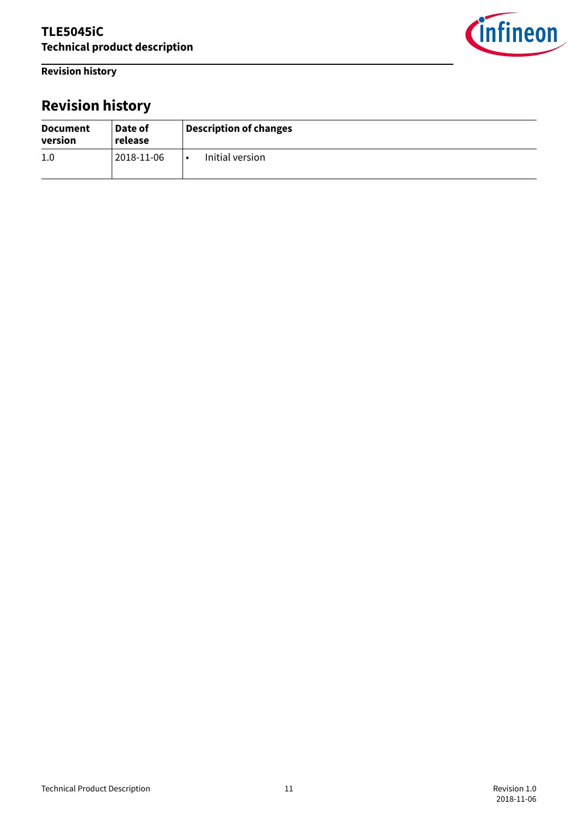<span id="page-10-0"></span>**Revision history**



# **Revision history**

| <b>Document</b><br>version | Date of<br>release | <b>Description of changes</b> |
|----------------------------|--------------------|-------------------------------|
| 1.0                        | 2018-11-06         | Initial version               |